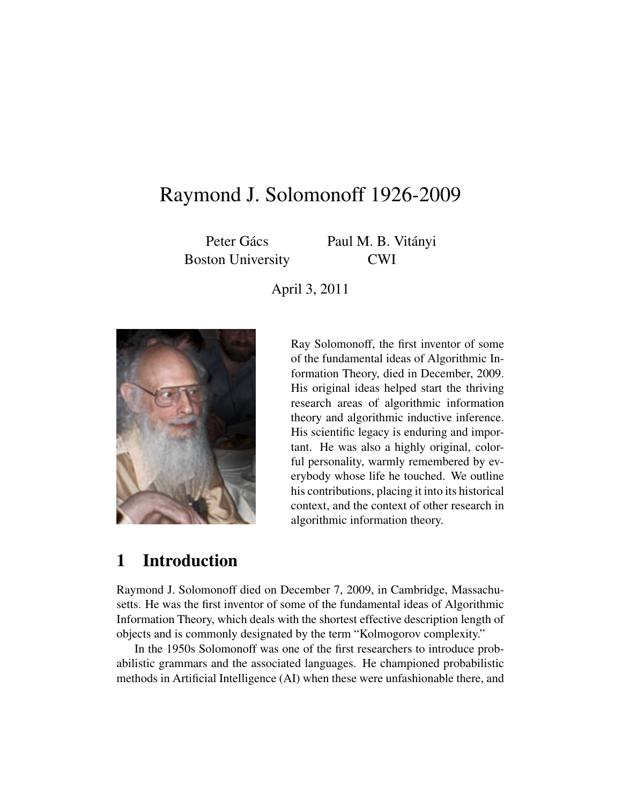## Raymond J. Solomonoff 1926-2009

Peter Gács Boston University Paul M. B. Vitányi CWI

April 3, 2011



Ray Solomonoff, the first inventor of some of the fundamental ideas of Algorithmic Information Theory, died in December, 2009. His original ideas helped start the thriving research areas of algorithmic information theory and algorithmic inductive inference. His scientific legacy is enduring and important. He was also a highly original, colorful personality, warmly remembered by everybody whose life he touched. We outline his contributions, placing it into its historical context, and the context of other research in algorithmic information theory.

## <span id="page-0-0"></span>1 Introduction

Raymond J. Solomonoff died on December 7, 2009, in Cambridge, Massachusetts. He was the first inventor of some of the fundamental ideas of Algorithmic Information Theory, which deals with the shortest effective description length of objects and is commonly designated by the term "Kolmogorov complexity."

In the 1950s Solomonoff was one of the first researchers to introduce probabilistic grammars and the associated languages. He championed probabilistic methods in Artificial Intelligence (AI) when these were unfashionable there, and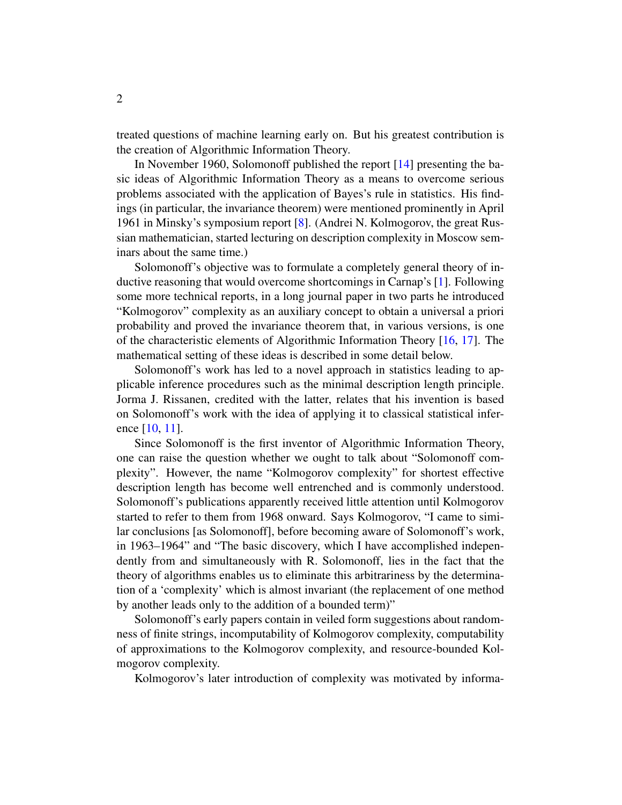treated questions of machine learning early on. But his greatest contribution is the creation of Algorithmic Information Theory.

In November 1960, Solomonoff published the report [\[14\]](#page-15-0) presenting the basic ideas of Algorithmic Information Theory as a means to overcome serious problems associated with the application of Bayes's rule in statistics. His findings (in particular, the invariance theorem) were mentioned prominently in April 1961 in Minsky's symposium report [\[8\]](#page-14-0). (Andrei N. Kolmogorov, the great Russian mathematician, started lecturing on description complexity in Moscow seminars about the same time.)

Solomonoff's objective was to formulate a completely general theory of inductive reasoning that would overcome shortcomings in Carnap's [\[1\]](#page-14-1). Following some more technical reports, in a long journal paper in two parts he introduced "Kolmogorov" complexity as an auxiliary concept to obtain a universal a priori probability and proved the invariance theorem that, in various versions, is one of the characteristic elements of Algorithmic Information Theory [\[16,](#page-15-1) [17\]](#page-15-2). The mathematical setting of these ideas is described in some detail below.

Solomonoff's work has led to a novel approach in statistics leading to applicable inference procedures such as the minimal description length principle. Jorma J. Rissanen, credited with the latter, relates that his invention is based on Solomonoff's work with the idea of applying it to classical statistical inference [\[10,](#page-15-3) [11\]](#page-15-4).

Since Solomonoff is the first inventor of Algorithmic Information Theory, one can raise the question whether we ought to talk about "Solomonoff complexity". However, the name "Kolmogorov complexity" for shortest effective description length has become well entrenched and is commonly understood. Solomonoff's publications apparently received little attention until Kolmogorov started to refer to them from 1968 onward. Says Kolmogorov, "I came to similar conclusions [as Solomonoff], before becoming aware of Solomonoff's work, in 1963–1964" and "The basic discovery, which I have accomplished independently from and simultaneously with R. Solomonoff, lies in the fact that the theory of algorithms enables us to eliminate this arbitrariness by the determination of a 'complexity' which is almost invariant (the replacement of one method by another leads only to the addition of a bounded term)"

Solomonoff's early papers contain in veiled form suggestions about randomness of finite strings, incomputability of Kolmogorov complexity, computability of approximations to the Kolmogorov complexity, and resource-bounded Kolmogorov complexity.

Kolmogorov's later introduction of complexity was motivated by informa-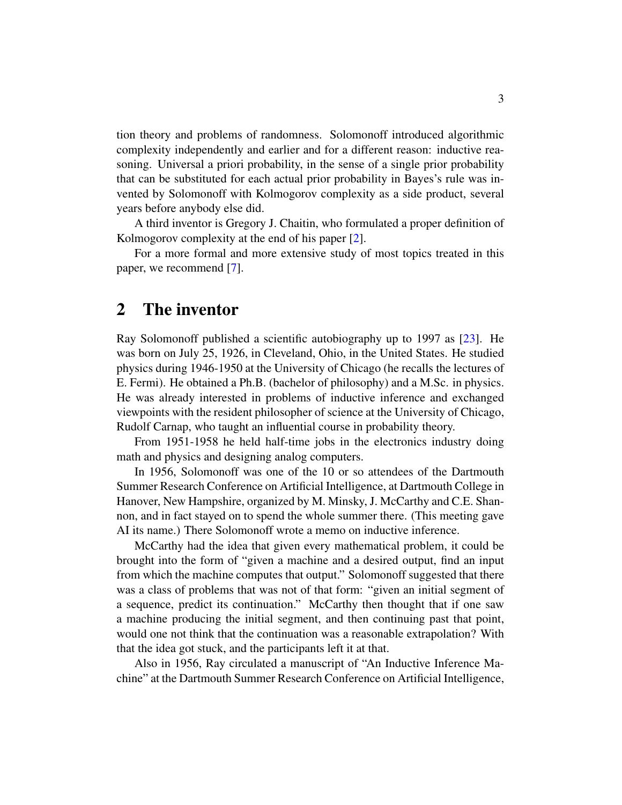tion theory and problems of randomness. Solomonoff introduced algorithmic complexity independently and earlier and for a different reason: inductive reasoning. Universal a priori probability, in the sense of a single prior probability that can be substituted for each actual prior probability in Bayes's rule was invented by Solomonoff with Kolmogorov complexity as a side product, several years before anybody else did.

A third inventor is Gregory J. Chaitin, who formulated a proper definition of Kolmogorov complexity at the end of his paper [\[2\]](#page-14-2).

For a more formal and more extensive study of most topics treated in this paper, we recommend [\[7\]](#page-14-3).

#### <span id="page-2-0"></span>2 The inventor

Ray Solomonoff published a scientific autobiography up to 1997 as [\[23\]](#page-16-0). He was born on July 25, 1926, in Cleveland, Ohio, in the United States. He studied physics during 1946-1950 at the University of Chicago (he recalls the lectures of E. Fermi). He obtained a Ph.B. (bachelor of philosophy) and a M.Sc. in physics. He was already interested in problems of inductive inference and exchanged viewpoints with the resident philosopher of science at the University of Chicago, Rudolf Carnap, who taught an influential course in probability theory.

From 1951-1958 he held half-time jobs in the electronics industry doing math and physics and designing analog computers.

In 1956, Solomonoff was one of the 10 or so attendees of the Dartmouth Summer Research Conference on Artificial Intelligence, at Dartmouth College in Hanover, New Hampshire, organized by M. Minsky, J. McCarthy and C.E. Shannon, and in fact stayed on to spend the whole summer there. (This meeting gave AI its name.) There Solomonoff wrote a memo on inductive inference.

McCarthy had the idea that given every mathematical problem, it could be brought into the form of "given a machine and a desired output, find an input from which the machine computes that output." Solomonoff suggested that there was a class of problems that was not of that form: "given an initial segment of a sequence, predict its continuation." McCarthy then thought that if one saw a machine producing the initial segment, and then continuing past that point, would one not think that the continuation was a reasonable extrapolation? With that the idea got stuck, and the participants left it at that.

Also in 1956, Ray circulated a manuscript of "An Inductive Inference Machine" at the Dartmouth Summer Research Conference on Artificial Intelligence,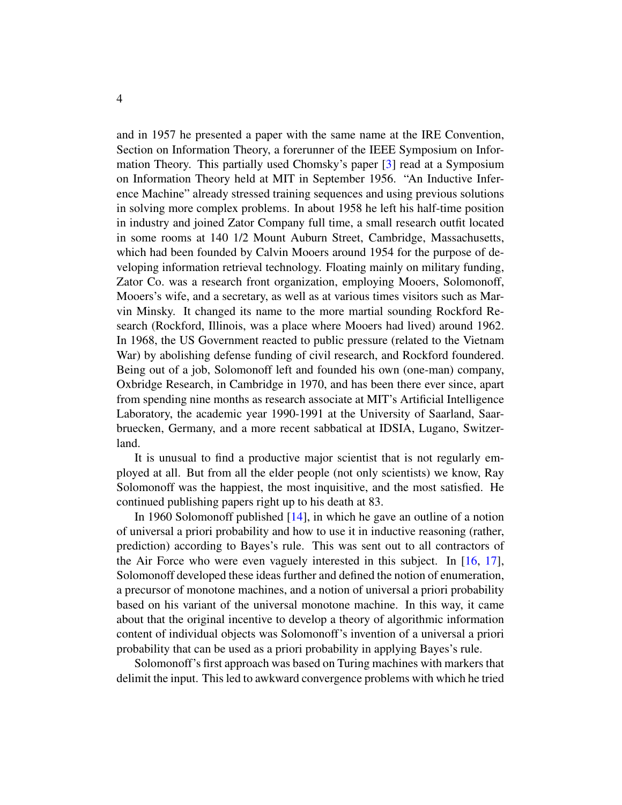and in 1957 he presented a paper with the same name at the IRE Convention, Section on Information Theory, a forerunner of the IEEE Symposium on Information Theory. This partially used Chomsky's paper [\[3\]](#page-14-4) read at a Symposium on Information Theory held at MIT in September 1956. "An Inductive Inference Machine" already stressed training sequences and using previous solutions in solving more complex problems. In about 1958 he left his half-time position in industry and joined Zator Company full time, a small research outfit located in some rooms at 140 1/2 Mount Auburn Street, Cambridge, Massachusetts, which had been founded by Calvin Mooers around 1954 for the purpose of developing information retrieval technology. Floating mainly on military funding, Zator Co. was a research front organization, employing Mooers, Solomonoff, Mooers's wife, and a secretary, as well as at various times visitors such as Marvin Minsky. It changed its name to the more martial sounding Rockford Research (Rockford, Illinois, was a place where Mooers had lived) around 1962. In 1968, the US Government reacted to public pressure (related to the Vietnam War) by abolishing defense funding of civil research, and Rockford foundered. Being out of a job, Solomonoff left and founded his own (one-man) company, Oxbridge Research, in Cambridge in 1970, and has been there ever since, apart from spending nine months as research associate at MIT's Artificial Intelligence Laboratory, the academic year 1990-1991 at the University of Saarland, Saarbruecken, Germany, and a more recent sabbatical at IDSIA, Lugano, Switzerland.

It is unusual to find a productive major scientist that is not regularly employed at all. But from all the elder people (not only scientists) we know, Ray Solomonoff was the happiest, the most inquisitive, and the most satisfied. He continued publishing papers right up to his death at 83.

In 1960 Solomonoff published [\[14\]](#page-15-0), in which he gave an outline of a notion of universal a priori probability and how to use it in inductive reasoning (rather, prediction) according to Bayes's rule. This was sent out to all contractors of the Air Force who were even vaguely interested in this subject. In [\[16,](#page-15-1) [17\]](#page-15-2), Solomonoff developed these ideas further and defined the notion of enumeration, a precursor of monotone machines, and a notion of universal a priori probability based on his variant of the universal monotone machine. In this way, it came about that the original incentive to develop a theory of algorithmic information content of individual objects was Solomonoff's invention of a universal a priori probability that can be used as a priori probability in applying Bayes's rule.

Solomonoff's first approach was based on Turing machines with markers that delimit the input. This led to awkward convergence problems with which he tried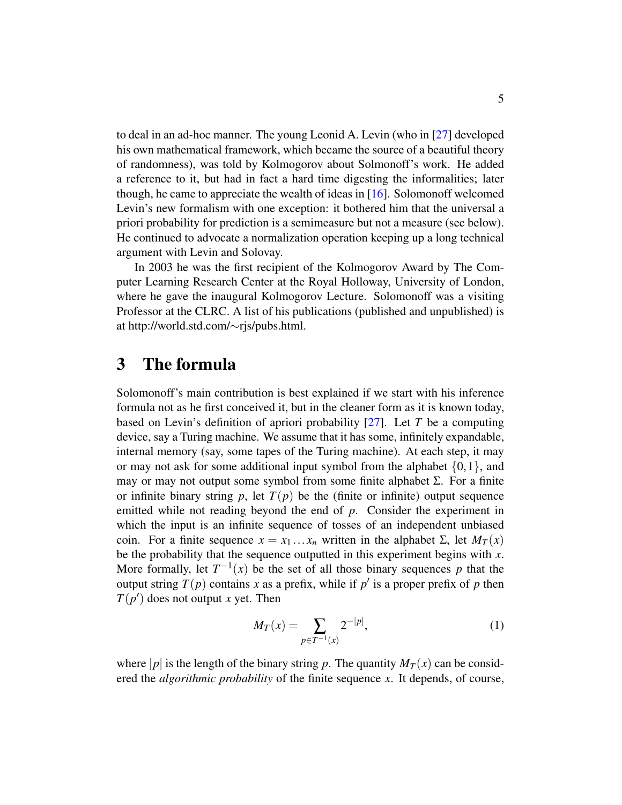to deal in an ad-hoc manner. The young Leonid A. Levin (who in [\[27\]](#page-16-1) developed his own mathematical framework, which became the source of a beautiful theory of randomness), was told by Kolmogorov about Solmonoff's work. He added a reference to it, but had in fact a hard time digesting the informalities; later though, he came to appreciate the wealth of ideas in [\[16\]](#page-15-1). Solomonoff welcomed Levin's new formalism with one exception: it bothered him that the universal a priori probability for prediction is a semimeasure but not a measure (see below). He continued to advocate a normalization operation keeping up a long technical argument with Levin and Solovay.

In 2003 he was the first recipient of the Kolmogorov Award by The Computer Learning Research Center at the Royal Holloway, University of London, where he gave the inaugural Kolmogorov Lecture. Solomonoff was a visiting Professor at the CLRC. A list of his publications (published and unpublished) is at http://world.std.com/∼rjs/pubs.html.

### <span id="page-4-1"></span>3 The formula

Solomonoff's main contribution is best explained if we start with his inference formula not as he first conceived it, but in the cleaner form as it is known today, based on Levin's definition of apriori probability [\[27\]](#page-16-1). Let *T* be a computing device, say a Turing machine. We assume that it has some, infinitely expandable, internal memory (say, some tapes of the Turing machine). At each step, it may or may not ask for some additional input symbol from the alphabet  $\{0,1\}$ , and may or may not output some symbol from some finite alphabet  $\Sigma$ . For a finite or infinite binary string  $p$ , let  $T(p)$  be the (finite or infinite) output sequence emitted while not reading beyond the end of *p*. Consider the experiment in which the input is an infinite sequence of tosses of an independent unbiased coin. For a finite sequence  $x = x_1 \dots x_n$  written in the alphabet  $\Sigma$ , let  $M_T(x)$ be the probability that the sequence outputted in this experiment begins with *x*. More formally, let  $T^{-1}(x)$  be the set of all those binary sequences p that the output string  $T(p)$  contains x as a prefix, while if  $p'$  is a proper prefix of p then  $T(p')$  does not output *x* yet. Then

<span id="page-4-0"></span>
$$
M_T(x) = \sum_{p \in T^{-1}(x)} 2^{-|p|},\tag{1}
$$

where  $|p|$  is the length of the binary string p. The quantity  $M_T(x)$  can be considered the *algorithmic probability* of the finite sequence *x*. It depends, of course,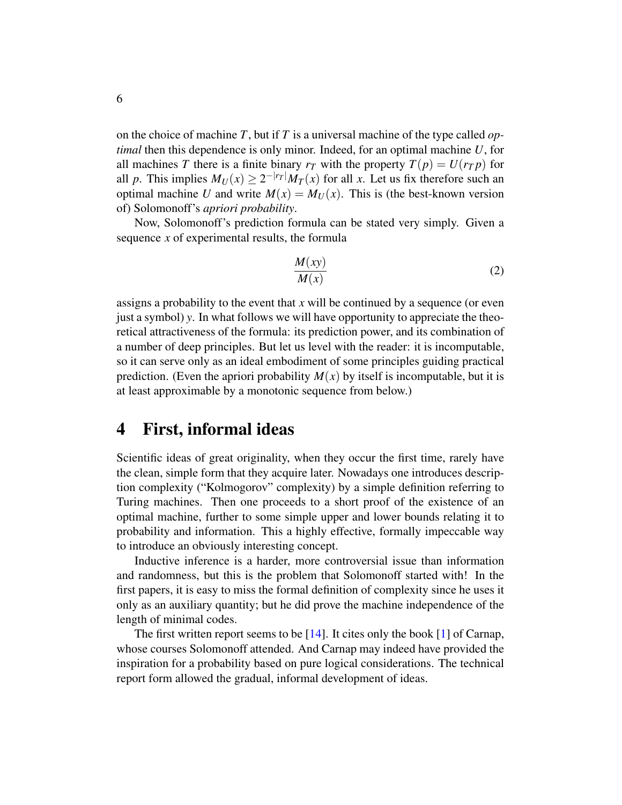on the choice of machine *T*, but if *T* is a universal machine of the type called *optimal* then this dependence is only minor. Indeed, for an optimal machine *U*, for all machines *T* there is a finite binary  $r_T$  with the property  $T(p) = U(r_T p)$  for all *p*. This implies  $M_U(x) \ge 2^{-|r_T|} M_T(x)$  for all *x*. Let us fix therefore such an optimal machine *U* and write  $M(x) = M_U(x)$ . This is (the best-known version of) Solomonoff's *apriori probability*.

Now, Solomonoff's prediction formula can be stated very simply. Given a sequence *x* of experimental results, the formula

<span id="page-5-0"></span>
$$
\frac{M(xy)}{M(x)}\tag{2}
$$

assigns a probability to the event that *x* will be continued by a sequence (or even just a symbol) *y*. In what follows we will have opportunity to appreciate the theoretical attractiveness of the formula: its prediction power, and its combination of a number of deep principles. But let us level with the reader: it is incomputable, so it can serve only as an ideal embodiment of some principles guiding practical prediction. (Even the apriori probability  $M(x)$  by itself is incomputable, but it is at least approximable by a monotonic sequence from below.)

#### <span id="page-5-1"></span>4 First, informal ideas

Scientific ideas of great originality, when they occur the first time, rarely have the clean, simple form that they acquire later. Nowadays one introduces description complexity ("Kolmogorov" complexity) by a simple definition referring to Turing machines. Then one proceeds to a short proof of the existence of an optimal machine, further to some simple upper and lower bounds relating it to probability and information. This a highly effective, formally impeccable way to introduce an obviously interesting concept.

Inductive inference is a harder, more controversial issue than information and randomness, but this is the problem that Solomonoff started with! In the first papers, it is easy to miss the formal definition of complexity since he uses it only as an auxiliary quantity; but he did prove the machine independence of the length of minimal codes.

The first written report seems to be [\[14\]](#page-15-0). It cites only the book [\[1\]](#page-14-1) of Carnap, whose courses Solomonoff attended. And Carnap may indeed have provided the inspiration for a probability based on pure logical considerations. The technical report form allowed the gradual, informal development of ideas.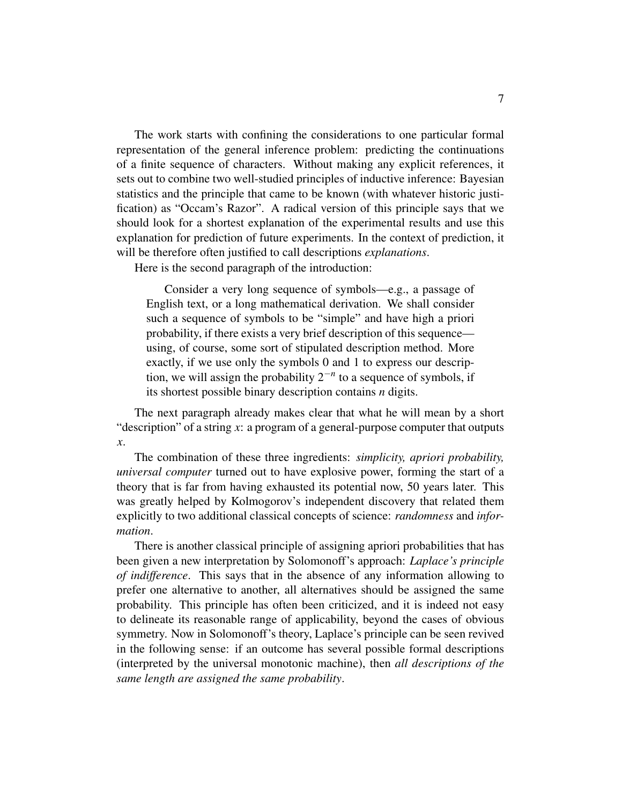The work starts with confining the considerations to one particular formal representation of the general inference problem: predicting the continuations of a finite sequence of characters. Without making any explicit references, it sets out to combine two well-studied principles of inductive inference: Bayesian statistics and the principle that came to be known (with whatever historic justification) as "Occam's Razor". A radical version of this principle says that we should look for a shortest explanation of the experimental results and use this explanation for prediction of future experiments. In the context of prediction, it will be therefore often justified to call descriptions *explanations*.

Here is the second paragraph of the introduction:

Consider a very long sequence of symbols—e.g., a passage of English text, or a long mathematical derivation. We shall consider such a sequence of symbols to be "simple" and have high a priori probability, if there exists a very brief description of this sequence using, of course, some sort of stipulated description method. More exactly, if we use only the symbols 0 and 1 to express our description, we will assign the probability  $2^{-n}$  to a sequence of symbols, if its shortest possible binary description contains *n* digits.

The next paragraph already makes clear that what he will mean by a short "description" of a string *x*: a program of a general-purpose computer that outputs *x*.

The combination of these three ingredients: *simplicity, apriori probability, universal computer* turned out to have explosive power, forming the start of a theory that is far from having exhausted its potential now, 50 years later. This was greatly helped by Kolmogorov's independent discovery that related them explicitly to two additional classical concepts of science: *randomness* and *information*.

There is another classical principle of assigning apriori probabilities that has been given a new interpretation by Solomonoff's approach: *Laplace's principle of indifference*. This says that in the absence of any information allowing to prefer one alternative to another, all alternatives should be assigned the same probability. This principle has often been criticized, and it is indeed not easy to delineate its reasonable range of applicability, beyond the cases of obvious symmetry. Now in Solomonoff's theory, Laplace's principle can be seen revived in the following sense: if an outcome has several possible formal descriptions (interpreted by the universal monotonic machine), then *all descriptions of the same length are assigned the same probability*.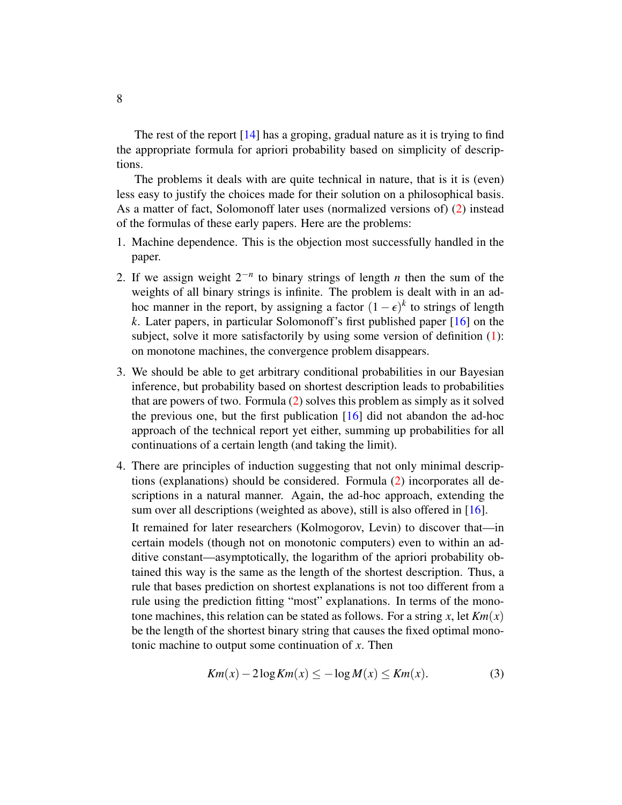The rest of the report  $[14]$  has a groping, gradual nature as it is trying to find the appropriate formula for apriori probability based on simplicity of descriptions.

The problems it deals with are quite technical in nature, that is it is (even) less easy to justify the choices made for their solution on a philosophical basis. As a matter of fact, Solomonoff later uses (normalized versions of) [\(2\)](#page-5-0) instead of the formulas of these early papers. Here are the problems:

- 1. Machine dependence. This is the objection most successfully handled in the paper.
- <span id="page-7-0"></span>2. If we assign weight 2−*<sup>n</sup>* to binary strings of length *n* then the sum of the weights of all binary strings is infinite. The problem is dealt with in an adhoc manner in the report, by assigning a factor  $(1 - \epsilon)^k$  to strings of length  $k$ . I ater papers in particular Solomonoff's first published paper [16] on the *k*. Later papers, in particular Solomonoff's first published paper [\[16\]](#page-15-1) on the subject, solve it more satisfactorily by using some version of definition [\(1\)](#page-4-0): on monotone machines, the convergence problem disappears.
- <span id="page-7-1"></span>3. We should be able to get arbitrary conditional probabilities in our Bayesian inference, but probability based on shortest description leads to probabilities that are powers of two. Formula [\(2\)](#page-5-0) solves this problem as simply as it solved the previous one, but the first publication  $[16]$  did not abandon the ad-hoc approach of the technical report yet either, summing up probabilities for all continuations of a certain length (and taking the limit).
- <span id="page-7-2"></span>4. There are principles of induction suggesting that not only minimal descriptions (explanations) should be considered. Formula [\(2\)](#page-5-0) incorporates all descriptions in a natural manner. Again, the ad-hoc approach, extending the sum over all descriptions (weighted as above), still is also offered in [\[16\]](#page-15-1).

It remained for later researchers (Kolmogorov, Levin) to discover that—in certain models (though not on monotonic computers) even to within an additive constant—asymptotically, the logarithm of the apriori probability obtained this way is the same as the length of the shortest description. Thus, a rule that bases prediction on shortest explanations is not too different from a rule using the prediction fitting "most" explanations. In terms of the monotone machines, this relation can be stated as follows. For a string *x*, let  $Km(x)$ be the length of the shortest binary string that causes the fixed optimal monotonic machine to output some continuation of *x*. Then

<span id="page-7-3"></span>
$$
Km(x) - 2\log Km(x) \le -\log M(x) \le Km(x). \tag{3}
$$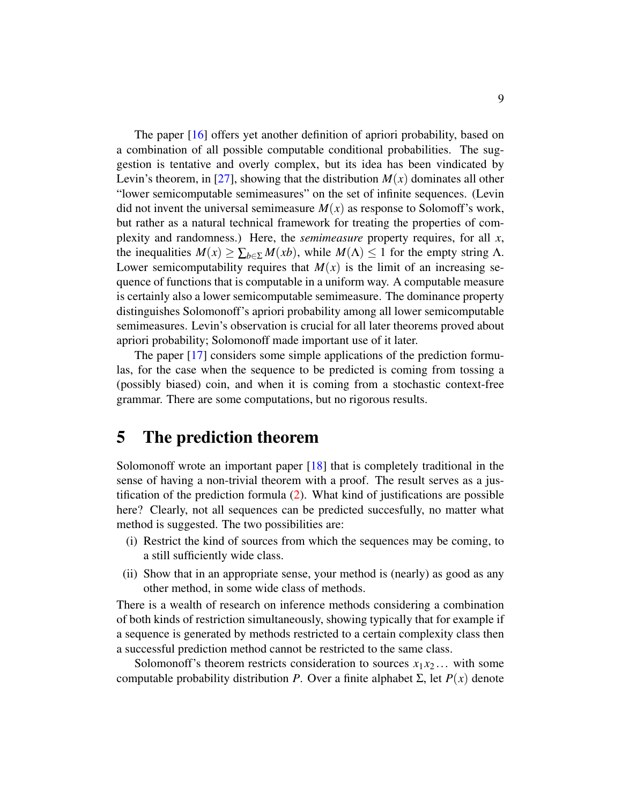The paper [\[16\]](#page-15-1) offers yet another definition of apriori probability, based on a combination of all possible computable conditional probabilities. The suggestion is tentative and overly complex, but its idea has been vindicated by Levin's theorem, in [\[27\]](#page-16-1), showing that the distribution  $M(x)$  dominates all other "lower semicomputable semimeasures" on the set of infinite sequences. (Levin did not invent the universal semimeasure  $M(x)$  as response to Solomoff's work, but rather as a natural technical framework for treating the properties of complexity and randomness.) Here, the *semimeasure* property requires, for all *x*, the inequalities  $M(x) \ge \sum_{b \in \Sigma} M(xb)$ , while  $M(\Lambda) \le 1$  for the empty string  $\Lambda$ . Lower semicomputability requires that  $M(x)$  is the limit of an increasing sequence of functions that is computable in a uniform way. A computable measure is certainly also a lower semicomputable semimeasure. The dominance property distinguishes Solomonoff's apriori probability among all lower semicomputable semimeasures. Levin's observation is crucial for all later theorems proved about apriori probability; Solomonoff made important use of it later.

The paper [\[17\]](#page-15-2) considers some simple applications of the prediction formulas, for the case when the sequence to be predicted is coming from tossing a (possibly biased) coin, and when it is coming from a stochastic context-free grammar. There are some computations, but no rigorous results.

## <span id="page-8-1"></span>5 The prediction theorem

Solomonoff wrote an important paper [\[18\]](#page-15-5) that is completely traditional in the sense of having a non-trivial theorem with a proof. The result serves as a justification of the prediction formula  $(2)$ . What kind of justifications are possible here? Clearly, not all sequences can be predicted succesfully, no matter what method is suggested. The two possibilities are:

- (i) Restrict the kind of sources from which the sequences may be coming, to a still sufficiently wide class.
- <span id="page-8-0"></span>(ii) Show that in an appropriate sense, your method is (nearly) as good as any other method, in some wide class of methods.

There is a wealth of research on inference methods considering a combination of both kinds of restriction simultaneously, showing typically that for example if a sequence is generated by methods restricted to a certain complexity class then a successful prediction method cannot be restricted to the same class.

Solomonoff's theorem restricts consideration to sources  $x_1x_2...$  with some computable probability distribution *P*. Over a finite alphabet Σ, let *P*(*x*) denote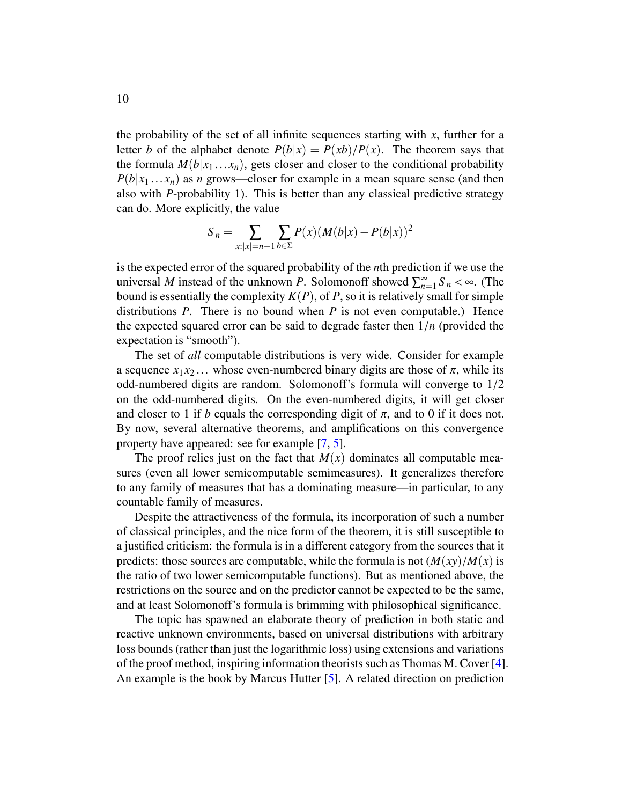the probability of the set of all infinite sequences starting with *x*, further for a letter *b* of the alphabet denote  $P(b|x) = P(xb)/P(x)$ . The theorem says that the formula  $M(b|x_1...x_n)$ , gets closer and closer to the conditional probability  $P(b|x_1...x_n)$  as *n* grows—closer for example in a mean square sense (and then also with *P*-probability 1). This is better than any classical predictive strategy can do. More explicitly, the value

$$
S_n = \sum_{x: |x|=n-1} \sum_{b \in \Sigma} P(x) (M(b|x) - P(b|x))^2
$$

is the expected error of the squared probability of the *n*th prediction if we use the universal *M* instead of the unknown *P*. Solomonoff showed  $\sum_{n=1}^{\infty} S_n < \infty$ . (The bound is essentially the complexity  $K(P)$  of *P* so it is relatively small for simple bound is essentially the complexity  $K(P)$ , of P, so it is relatively small for simple distributions *P*. There is no bound when *P* is not even computable.) Hence the expected squared error can be said to degrade faster then 1/*<sup>n</sup>* (provided the expectation is "smooth").

The set of *all* computable distributions is very wide. Consider for example a sequence  $x_1x_2...$  whose even-numbered binary digits are those of  $\pi$ , while its odd-numbered digits are random. Solomonoff's formula will converge to 1/<sup>2</sup> on the odd-numbered digits. On the even-numbered digits, it will get closer and closer to 1 if *b* equals the corresponding digit of  $\pi$ , and to 0 if it does not. By now, several alternative theorems, and amplifications on this convergence property have appeared: see for example [\[7,](#page-14-3) [5\]](#page-14-5).

The proof relies just on the fact that  $M(x)$  dominates all computable measures (even all lower semicomputable semimeasures). It generalizes therefore to any family of measures that has a dominating measure—in particular, to any countable family of measures.

Despite the attractiveness of the formula, its incorporation of such a number of classical principles, and the nice form of the theorem, it is still susceptible to a justified criticism: the formula is in a different category from the sources that it predicts: those sources are computable, while the formula is not  $(M(xy)/M(x))$  is the ratio of two lower semicomputable functions). But as mentioned above, the restrictions on the source and on the predictor cannot be expected to be the same, and at least Solomonoff's formula is brimming with philosophical significance.

The topic has spawned an elaborate theory of prediction in both static and reactive unknown environments, based on universal distributions with arbitrary loss bounds (rather than just the logarithmic loss) using extensions and variations of the proof method, inspiring information theorists such as Thomas M. Cover [\[4\]](#page-14-6). An example is the book by Marcus Hutter [\[5\]](#page-14-5). A related direction on prediction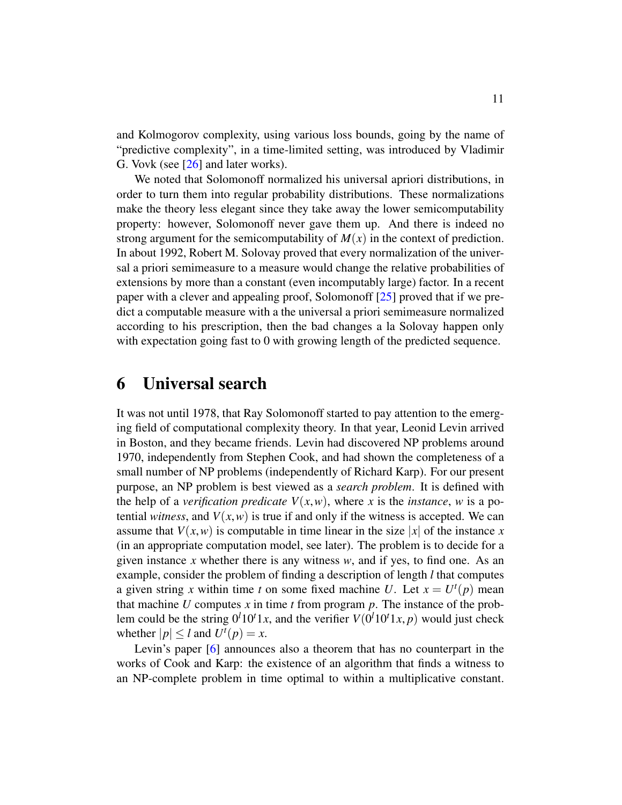and Kolmogorov complexity, using various loss bounds, going by the name of "predictive complexity", in a time-limited setting, was introduced by Vladimir G. Vovk (see [\[26\]](#page-16-2) and later works).

We noted that Solomonoff normalized his universal apriori distributions, in order to turn them into regular probability distributions. These normalizations make the theory less elegant since they take away the lower semicomputability property: however, Solomonoff never gave them up. And there is indeed no strong argument for the semicomputability of  $M(x)$  in the context of prediction. In about 1992, Robert M. Solovay proved that every normalization of the universal a priori semimeasure to a measure would change the relative probabilities of extensions by more than a constant (even incomputably large) factor. In a recent paper with a clever and appealing proof, Solomonoff [\[25\]](#page-16-3) proved that if we predict a computable measure with a the universal a priori semimeasure normalized according to his prescription, then the bad changes a la Solovay happen only with expectation going fast to 0 with growing length of the predicted sequence.

#### <span id="page-10-0"></span>6 Universal search

It was not until 1978, that Ray Solomonoff started to pay attention to the emerging field of computational complexity theory. In that year, Leonid Levin arrived in Boston, and they became friends. Levin had discovered NP problems around 1970, independently from Stephen Cook, and had shown the completeness of a small number of NP problems (independently of Richard Karp). For our present purpose, an NP problem is best viewed as a *search problem*. It is defined with the help of a *verification predicate*  $V(x, w)$ , where *x* is the *instance*, *w* is a potential *witness*, and  $V(x, w)$  is true if and only if the witness is accepted. We can assume that  $V(x, w)$  is computable in time linear in the size  $|x|$  of the instance *x* (in an appropriate computation model, see later). The problem is to decide for a given instance  $x$  whether there is any witness  $w$ , and if yes, to find one. As an example, consider the problem of finding a description of length *l* that computes a given string *x* within time *t* on some fixed machine *U*. Let  $x = U^{t}(p)$  mean that machine *U* computes *x* in time *t* from program *p*. The instance of the problem could be the string  $0^l 10^t 1x$ , and the verifier  $V(0^l 10^t 1x, p)$  would just check<br>whether  $|p| \le l$  and  $U^t(n) = x$ whether  $|p| \leq l$  and  $U^{t}(p) = x$ .

Levin's paper [\[6\]](#page-14-7) announces also a theorem that has no counterpart in the works of Cook and Karp: the existence of an algorithm that finds a witness to an NP-complete problem in time optimal to within a multiplicative constant.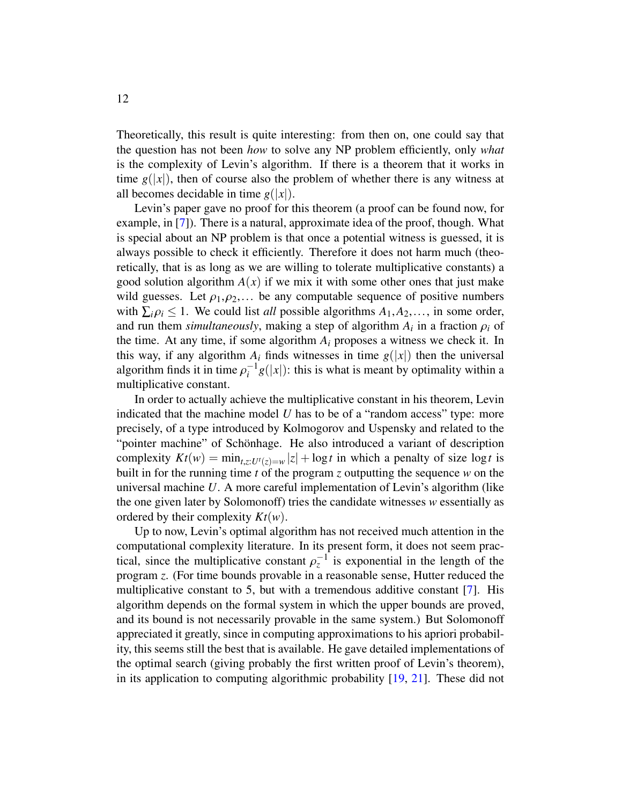Theoretically, this result is quite interesting: from then on, one could say that the question has not been *how* to solve any NP problem efficiently, only *what* is the complexity of Levin's algorithm. If there is a theorem that it works in time  $g(|x|)$ , then of course also the problem of whether there is any witness at all becomes decidable in time  $g(|x|)$ .

Levin's paper gave no proof for this theorem (a proof can be found now, for example, in [\[7\]](#page-14-3)). There is a natural, approximate idea of the proof, though. What is special about an NP problem is that once a potential witness is guessed, it is always possible to check it efficiently. Therefore it does not harm much (theoretically, that is as long as we are willing to tolerate multiplicative constants) a good solution algorithm  $A(x)$  if we mix it with some other ones that just make wild guesses. Let  $\rho_1, \rho_2, \ldots$  be any computable sequence of positive numbers with  $\sum_i \rho_i \leq 1$ . We could list *all* possible algorithms  $A_1, A_2, \ldots$ , in some order, and run them *simultaneously*, making a step of algorithm  $A_i$  in a fraction  $\rho_i$  of the time. At any time if some algorithm  $A_i$  proposes a witness we check it. In the time. At any time, if some algorithm  $A_i$  proposes a witness we check it. In this way, if any algorithm  $A_i$  finds witnesses in time  $g(|x|)$  then the universal algorithm finds it in time  $\rho_i^{-1}$ <br>multiplicative constant  $i<sup>-1</sup>g(|x|)$ : this is what is meant by optimality within a multiplicative constant.

In order to actually achieve the multiplicative constant in his theorem, Levin indicated that the machine model *U* has to be of a "random access" type: more precisely, of a type introduced by Kolmogorov and Uspensky and related to the "pointer machine" of Schönhage. He also introduced a variant of description complexity  $Kt(w) = \min_{t,z:U^{t}(z)=w} |z| + \log t$  in which a penalty of size  $\log t$  is built in for the running time *t* of the program *z* outputting the sequence *w* on the universal machine *U*. A more careful implementation of Levin's algorithm (like the one given later by Solomonoff) tries the candidate witnesses *w* essentially as ordered by their complexity *Kt*(*w*).

Up to now, Levin's optimal algorithm has not received much attention in the computational complexity literature. In its present form, it does not seem practical, since the multiplicative constant  $\rho_z^{-1}$  is exponential in the length of the program z. (For time bounds provable in a reasonable sense. Hutter reduced the program *z*. (For time bounds provable in a reasonable sense, Hutter reduced the multiplicative constant to 5, but with a tremendous additive constant [\[7\]](#page-14-3). His algorithm depends on the formal system in which the upper bounds are proved, and its bound is not necessarily provable in the same system.) But Solomonoff appreciated it greatly, since in computing approximations to his apriori probability, this seems still the best that is available. He gave detailed implementations of the optimal search (giving probably the first written proof of Levin's theorem), in its application to computing algorithmic probability [\[19,](#page-15-6) [21\]](#page-15-7). These did not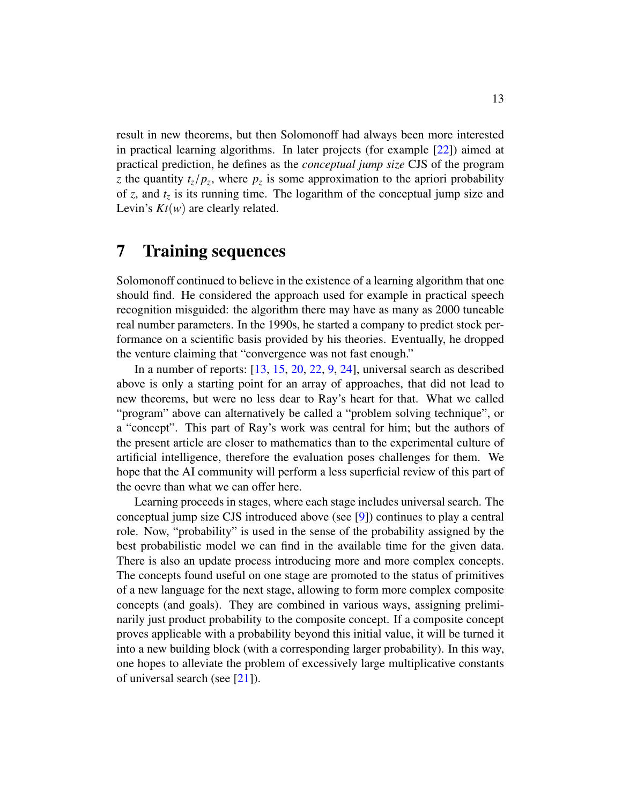result in new theorems, but then Solomonoff had always been more interested in practical learning algorithms. In later projects (for example [\[22\]](#page-16-4)) aimed at practical prediction, he defines as the *conceptual jump size* CJS of the program *z* the quantity  $t_z/p_z$ , where  $p_z$  is some approximation to the apriori probability of z and t is its running time. The logarithm of the concentual jump size and of *z*, and  $t_z$  is its running time. The logarithm of the conceptual jump size and Levin's  $Kt(w)$  are clearly related.

#### <span id="page-12-0"></span>7 Training sequences

Solomonoff continued to believe in the existence of a learning algorithm that one should find. He considered the approach used for example in practical speech recognition misguided: the algorithm there may have as many as 2000 tuneable real number parameters. In the 1990s, he started a company to predict stock performance on a scientific basis provided by his theories. Eventually, he dropped the venture claiming that "convergence was not fast enough."

In a number of reports: [\[13,](#page-15-8) [15,](#page-15-9) [20,](#page-15-10) [22,](#page-16-4) [9,](#page-14-8) [24\]](#page-16-5), universal search as described above is only a starting point for an array of approaches, that did not lead to new theorems, but were no less dear to Ray's heart for that. What we called "program" above can alternatively be called a "problem solving technique", or a "concept". This part of Ray's work was central for him; but the authors of the present article are closer to mathematics than to the experimental culture of artificial intelligence, therefore the evaluation poses challenges for them. We hope that the AI community will perform a less superficial review of this part of the oevre than what we can offer here.

Learning proceeds in stages, where each stage includes universal search. The conceptual jump size CJS introduced above (see [\[9\]](#page-14-8)) continues to play a central role. Now, "probability" is used in the sense of the probability assigned by the best probabilistic model we can find in the available time for the given data. There is also an update process introducing more and more complex concepts. The concepts found useful on one stage are promoted to the status of primitives of a new language for the next stage, allowing to form more complex composite concepts (and goals). They are combined in various ways, assigning preliminarily just product probability to the composite concept. If a composite concept proves applicable with a probability beyond this initial value, it will be turned it into a new building block (with a corresponding larger probability). In this way, one hopes to alleviate the problem of excessively large multiplicative constants of universal search (see [\[21\]](#page-15-7)).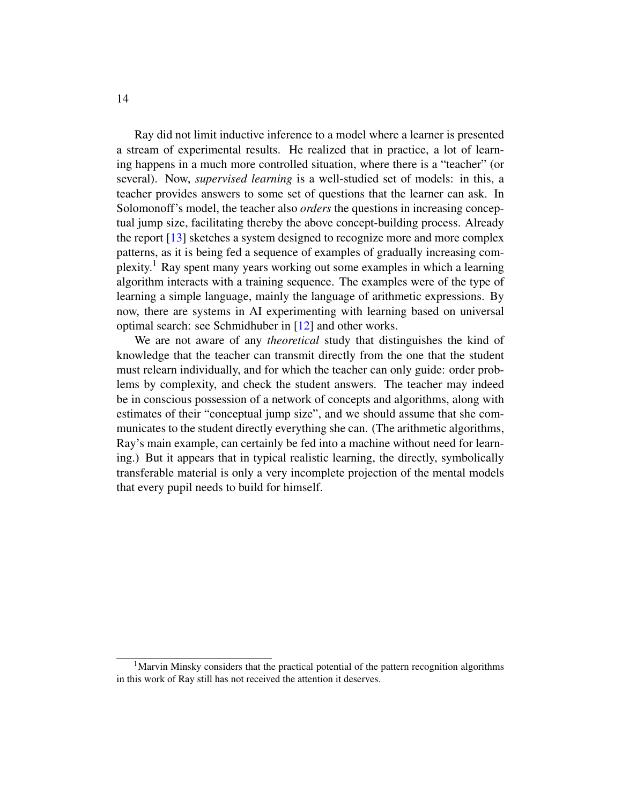Ray did not limit inductive inference to a model where a learner is presented a stream of experimental results. He realized that in practice, a lot of learning happens in a much more controlled situation, where there is a "teacher" (or several). Now, *supervised learning* is a well-studied set of models: in this, a teacher provides answers to some set of questions that the learner can ask. In Solomonoff's model, the teacher also *orders* the questions in increasing conceptual jump size, facilitating thereby the above concept-building process. Already the report [\[13\]](#page-15-8) sketches a system designed to recognize more and more complex patterns, as it is being fed a sequence of examples of gradually increasing complexity.<sup>1</sup> Ray spent many years working out some examples in which a learning algorithm interacts with a training sequence. The examples were of the type of learning a simple language, mainly the language of arithmetic expressions. By now, there are systems in AI experimenting with learning based on universal optimal search: see Schmidhuber in [\[12\]](#page-15-11) and other works.

We are not aware of any *theoretical* study that distinguishes the kind of knowledge that the teacher can transmit directly from the one that the student must relearn individually, and for which the teacher can only guide: order problems by complexity, and check the student answers. The teacher may indeed be in conscious possession of a network of concepts and algorithms, along with estimates of their "conceptual jump size", and we should assume that she communicates to the student directly everything she can. (The arithmetic algorithms, Ray's main example, can certainly be fed into a machine without need for learning.) But it appears that in typical realistic learning, the directly, symbolically transferable material is only a very incomplete projection of the mental models that every pupil needs to build for himself.

<sup>&</sup>lt;sup>1</sup>Marvin Minsky considers that the practical potential of the pattern recognition algorithms in this work of Ray still has not received the attention it deserves.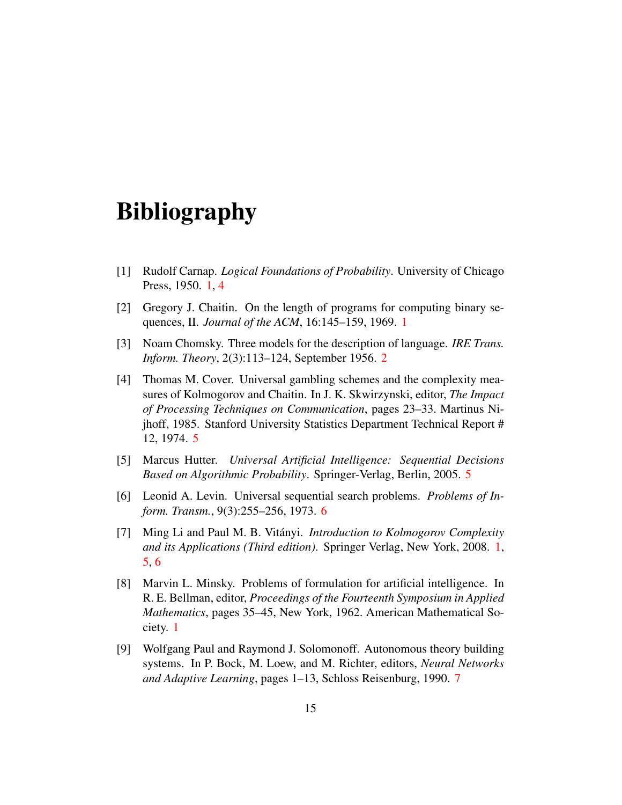# Bibliography

- <span id="page-14-1"></span>[1] Rudolf Carnap. *Logical Foundations of Probability*. University of Chicago Press, 1950. [1,](#page-0-0) [4](#page-5-1)
- <span id="page-14-2"></span>[2] Gregory J. Chaitin. On the length of programs for computing binary sequences, II. *Journal of the ACM*, 16:145–159, 1969. [1](#page-0-0)
- <span id="page-14-4"></span>[3] Noam Chomsky. Three models for the description of language. *IRE Trans. Inform. Theory*, 2(3):113–124, September 1956. [2](#page-2-0)
- <span id="page-14-6"></span>[4] Thomas M. Cover. Universal gambling schemes and the complexity measures of Kolmogorov and Chaitin. In J. K. Skwirzynski, editor, *The Impact of Processing Techniques on Communication*, pages 23–33. Martinus Nijhoff, 1985. Stanford University Statistics Department Technical Report # 12, 1974. [5](#page-8-0)
- <span id="page-14-5"></span>[5] Marcus Hutter. *Universal Artificial Intelligence: Sequential Decisions Based on Algorithmic Probability*. Springer-Verlag, Berlin, 2005. [5](#page-8-0)
- <span id="page-14-7"></span>[6] Leonid A. Levin. Universal sequential search problems. *Problems of Inform. Transm.*, 9(3):255–256, 1973. [6](#page-10-0)
- <span id="page-14-3"></span>[7] Ming Li and Paul M. B. Vitányi. *Introduction to Kolmogorov Complexity and its Applications (Third edition)*. Springer Verlag, New York, 2008. [1,](#page-0-0) [5,](#page-8-0) [6](#page-10-0)
- <span id="page-14-0"></span>[8] Marvin L. Minsky. Problems of formulation for artificial intelligence. In R. E. Bellman, editor, *Proceedings of the Fourteenth Symposium in Applied Mathematics*, pages 35–45, New York, 1962. American Mathematical Society. [1](#page-0-0)
- <span id="page-14-8"></span>[9] Wolfgang Paul and Raymond J. Solomonoff. Autonomous theory building systems. In P. Bock, M. Loew, and M. Richter, editors, *Neural Networks and Adaptive Learning*, pages 1–13, Schloss Reisenburg, 1990. [7](#page-12-0)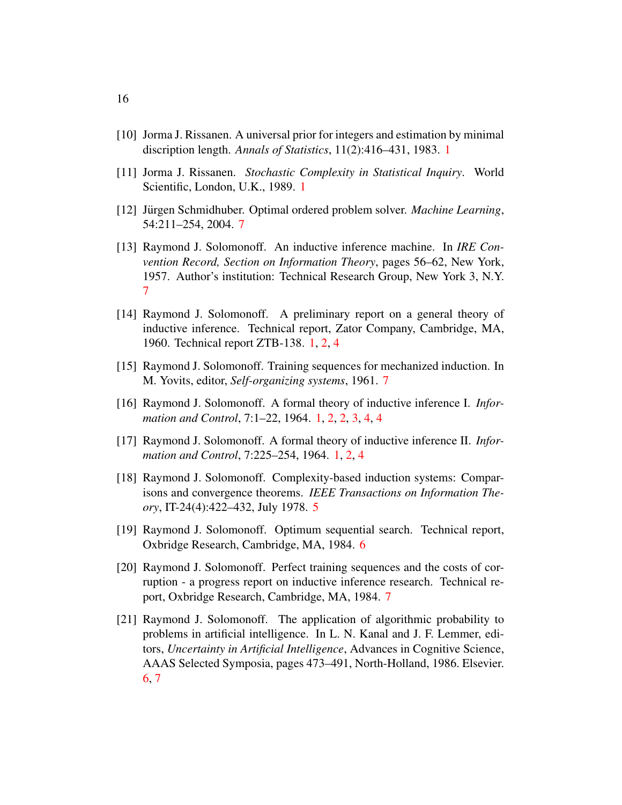- <span id="page-15-3"></span>[10] Jorma J. Rissanen. A universal prior for integers and estimation by minimal discription length. *Annals of Statistics*, 11(2):416–431, 1983. [1](#page-0-0)
- <span id="page-15-4"></span>[11] Jorma J. Rissanen. *Stochastic Complexity in Statistical Inquiry*. World Scientific, London, U.K., 1989. [1](#page-0-0)
- <span id="page-15-11"></span>[12] Jürgen Schmidhuber. Optimal ordered problem solver. *Machine Learning*, 54:211–254, 2004. [7](#page-12-0)
- <span id="page-15-8"></span>[13] Raymond J. Solomonoff. An inductive inference machine. In *IRE Convention Record, Section on Information Theory*, pages 56–62, New York, 1957. Author's institution: Technical Research Group, New York 3, N.Y. [7](#page-12-0)
- <span id="page-15-0"></span>[14] Raymond J. Solomonoff. A preliminary report on a general theory of inductive inference. Technical report, Zator Company, Cambridge, MA, 1960. Technical report ZTB-138. [1,](#page-0-0) [2,](#page-2-0) [4](#page-5-1)
- <span id="page-15-9"></span>[15] Raymond J. Solomonoff. Training sequences for mechanized induction. In M. Yovits, editor, *Self-organizing systems*, 1961. [7](#page-12-0)
- <span id="page-15-1"></span>[16] Raymond J. Solomonoff. A formal theory of inductive inference I. *Information and Control*, 7:1–22, 1964. [1,](#page-0-0) [2,](#page-2-0) [2,](#page-7-0) [3,](#page-7-1) [4,](#page-7-2) [4](#page-7-3)
- <span id="page-15-2"></span>[17] Raymond J. Solomonoff. A formal theory of inductive inference II. *Information and Control*, 7:225–254, 1964. [1,](#page-0-0) [2,](#page-2-0) [4](#page-7-3)
- <span id="page-15-5"></span>[18] Raymond J. Solomonoff. Complexity-based induction systems: Comparisons and convergence theorems. *IEEE Transactions on Information Theory*, IT-24(4):422–432, July 1978. [5](#page-8-1)
- <span id="page-15-6"></span>[19] Raymond J. Solomonoff. Optimum sequential search. Technical report, Oxbridge Research, Cambridge, MA, 1984. [6](#page-10-0)
- <span id="page-15-10"></span>[20] Raymond J. Solomonoff. Perfect training sequences and the costs of corruption - a progress report on inductive inference research. Technical report, Oxbridge Research, Cambridge, MA, 1984. [7](#page-12-0)
- <span id="page-15-7"></span>[21] Raymond J. Solomonoff. The application of algorithmic probability to problems in artificial intelligence. In L. N. Kanal and J. F. Lemmer, editors, *Uncertainty in Artificial Intelligence*, Advances in Cognitive Science, AAAS Selected Symposia, pages 473–491, North-Holland, 1986. Elsevier. [6,](#page-10-0) [7](#page-12-0)